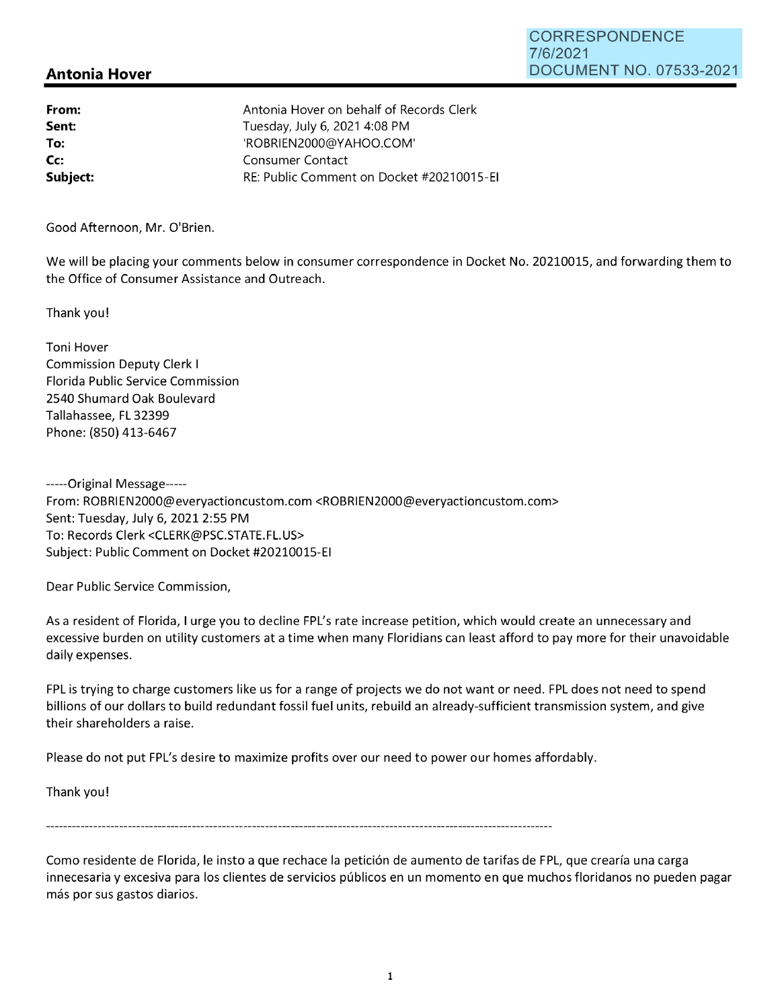## CORRESPONDENCE 7/6/2021 DOCUMENT NO. 07533-2021

## **Antonia Hover**

| From:<br>Sent: | Antonia Hover on behalf of Records Clerk<br>Tuesday, July 6, 2021 4:08 PM |
|----------------|---------------------------------------------------------------------------|
| To:            | 'ROBRIEN2000@YAHOO.COM'                                                   |
| Cc:            | Consumer Contact                                                          |
| Subject:       | RE: Public Comment on Docket #20210015-EI                                 |

Good Afternoon, Mr. O'Brien.

We will be placing your comments below in consumer correspondence in Docket No. 20210015, and forwarding them to the Office of Consumer Assistance and Outreach.

Thank you!

Toni Hover Commission Deputy Clerk I Florida Public Service Commission 2540 Shumard Oak Boulevard Tallahassee, FL 32399 Phone: (850) 413-6467

-----Original Message----- From: ROBRIEN2000@everyactioncustom.com <R0BRIEN2000@everyactioncustom.com> Sent: Tuesday, July 6, 2021 2:55 PM To: Records Clerk <CLERK@PSC.STATE.FL.US> Subject: Public Comment on Docket #20210015-EI

Dear Public Service Commission,

As a resident of Florida, I urge you to decline FPL's rate increase petition, which would create an unnecessary and excessive burden on utility customers at a time when many Floridians can least afford to pay more for their unavoidable daily expenses.

FPL is trying to charge customers like us for a range of projects we do not want or need. FPL does not need to spend billions of our dollars to build redundant fossil fuel units, rebuild an already-sufficient transmission system, and give their shareholders a raise.

Please do not put FPL's desire to maximize profits over our need to power our homes affordably.

Thank you!

Como residente de Florida, le insto a que rechace la petición de aumento de tarifas de FPL, que crearía una carga innecesaria y excesiva para los clientes de servicios públicos en un momento en que muchos floridanos no pueden pagar más por sus gastos diarios.